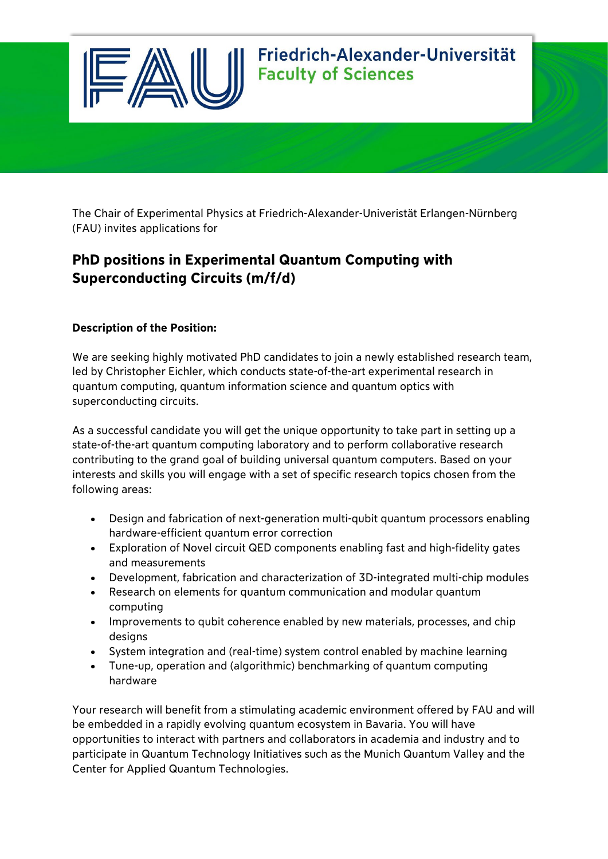

The Chair of Experimental Physics at Friedrich-Alexander-Univeristät Erlangen-Nürnberg (FAU) invites applications for

## **PhD positions in Experimental Quantum Computing with Superconducting Circuits (m/f/d)**

### **Description of the Position:**

We are seeking highly motivated PhD candidates to join a newly established research team, led by Christopher Eichler, which conducts state-of-the-art experimental research in quantum computing, quantum information science and quantum optics with superconducting circuits.

As a successful candidate you will get the unique opportunity to take part in setting up a state-of-the-art quantum computing laboratory and to perform collaborative research contributing to the grand goal of building universal quantum computers. Based on your interests and skills you will engage with a set of specific research topics chosen from the following areas:

- Design and fabrication of next-generation multi-qubit quantum processors enabling hardware-efficient quantum error correction
- Exploration of Novel circuit QED components enabling fast and high-fidelity gates and measurements
- Development, fabrication and characterization of 3D-integrated multi-chip modules
- Research on elements for quantum communication and modular quantum computing
- Improvements to qubit coherence enabled by new materials, processes, and chip designs
- System integration and (real-time) system control enabled by machine learning
- Tune-up, operation and (algorithmic) benchmarking of quantum computing hardware

Your research will benefit from a stimulating academic environment offered by FAU and will be embedded in a rapidly evolving quantum ecosystem in Bavaria. You will have opportunities to interact with partners and collaborators in academia and industry and to participate in Quantum Technology Initiatives such as the Munich Quantum Valley and the Center for Applied Quantum Technologies.